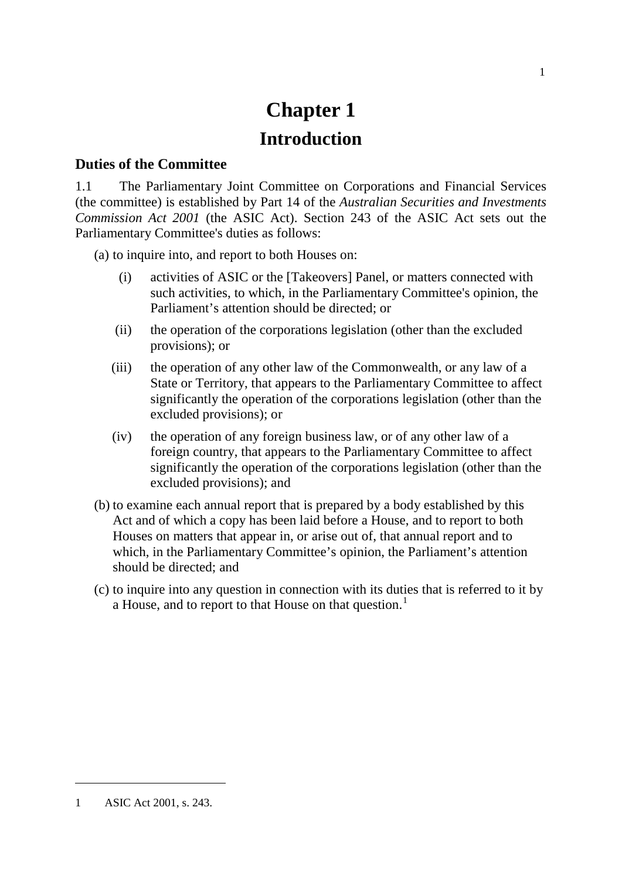# **Chapter 1 Introduction**

#### **Duties of the Committee**

1.1 The Parliamentary Joint Committee on Corporations and Financial Services (the committee) is established by Part 14 of the *Australian Securities and Investments Commission Act 2001* (the ASIC Act). Section 243 of the ASIC Act sets out the Parliamentary Committee's duties as follows:

(a) to inquire into, and report to both Houses on:

- (i) activities of ASIC or the [Takeovers] Panel, or matters connected with such activities, to which, in the Parliamentary Committee's opinion, the Parliament's attention should be directed; or
- (ii) the operation of the corporations legislation (other than the excluded provisions); or
- (iii) the operation of any other law of the Commonwealth, or any law of a State or Territory, that appears to the Parliamentary Committee to affect significantly the operation of the corporations legislation (other than the excluded provisions); or
- (iv) the operation of any foreign business law, or of any other law of a foreign country, that appears to the Parliamentary Committee to affect significantly the operation of the corporations legislation (other than the excluded provisions); and
- (b) to examine each annual report that is prepared by a body established by this Act and of which a copy has been laid before a House, and to report to both Houses on matters that appear in, or arise out of, that annual report and to which, in the Parliamentary Committee's opinion, the Parliament's attention should be directed; and
- (c) to inquire into any question in connection with its duties that is referred to it by a House, and to report to that House on that question.<sup>[1](#page-0-0)</sup>

-

<span id="page-0-0"></span><sup>1</sup> ASIC Act 2001, s. 243.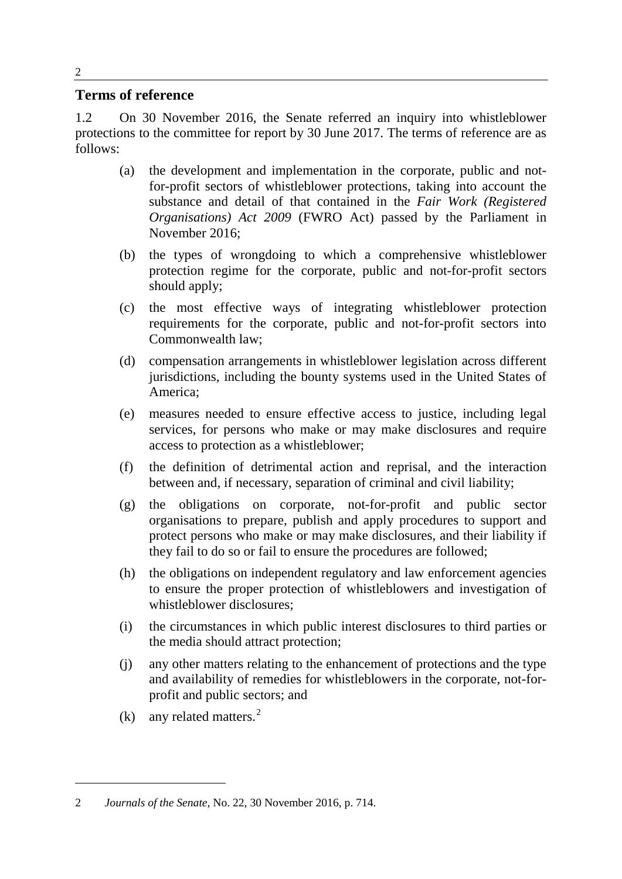#### **Terms of reference**

1.2 On 30 November 2016, the Senate referred an inquiry into whistleblower protections to the committee for report by 30 June 2017. The terms of reference are as follows:

- (a) the development and implementation in the corporate, public and notfor-profit sectors of whistleblower protections, taking into account the substance and detail of that contained in the *Fair Work (Registered Organisations) Act 2009* (FWRO Act) passed by the Parliament in November 2016;
- (b) the types of wrongdoing to which a comprehensive whistleblower protection regime for the corporate, public and not-for-profit sectors should apply;
- (c) the most effective ways of integrating whistleblower protection requirements for the corporate, public and not-for-profit sectors into Commonwealth law;
- (d) compensation arrangements in whistleblower legislation across different jurisdictions, including the bounty systems used in the United States of America;
- (e) measures needed to ensure effective access to justice, including legal services, for persons who make or may make disclosures and require access to protection as a whistleblower;
- (f) the definition of detrimental action and reprisal, and the interaction between and, if necessary, separation of criminal and civil liability;
- (g) the obligations on corporate, not-for-profit and public sector organisations to prepare, publish and apply procedures to support and protect persons who make or may make disclosures, and their liability if they fail to do so or fail to ensure the procedures are followed;
- (h) the obligations on independent regulatory and law enforcement agencies to ensure the proper protection of whistleblowers and investigation of whistleblower disclosures;
- (i) the circumstances in which public interest disclosures to third parties or the media should attract protection;
- (j) any other matters relating to the enhancement of protections and the type and availability of remedies for whistleblowers in the corporate, not-forprofit and public sectors; and
- $(k)$  any related matters.<sup>[2](#page-1-0)</sup>

-

<span id="page-1-0"></span><sup>2</sup> *Journals of the Senate*, No. 22, 30 November 2016, p. 714.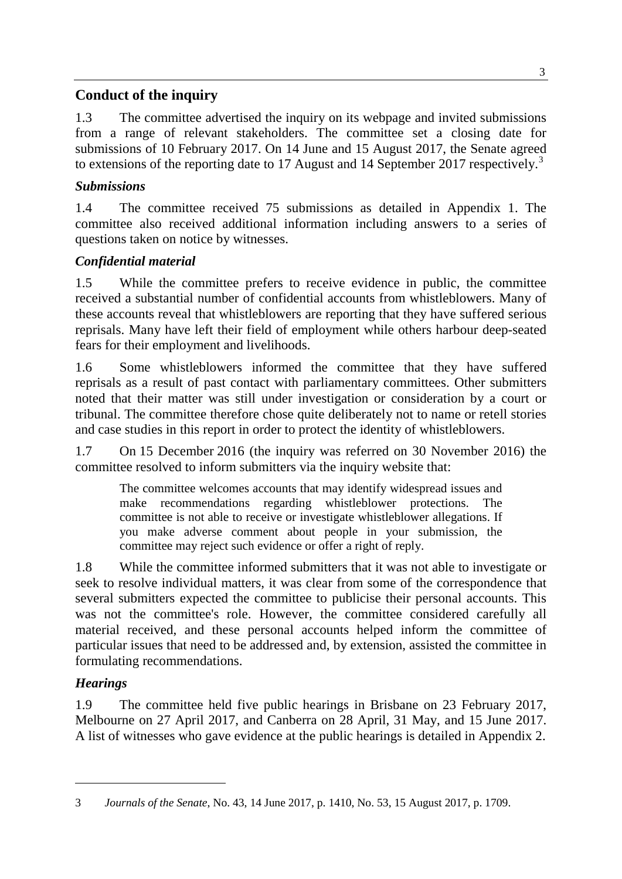# **Conduct of the inquiry**

1.3 The committee advertised the inquiry on its webpage and invited submissions from a range of relevant stakeholders. The committee set a closing date for submissions of 10 February 2017. On 14 June and 15 August 2017, the Senate agreed to extensions of the reporting date to 17 August and 14 September 2017 respectively.<sup>[3](#page-2-0)</sup>

## *Submissions*

1.4 The committee received 75 submissions as detailed in Appendix 1. The committee also received additional information including answers to a series of questions taken on notice by witnesses.

# *Confidential material*

1.5 While the committee prefers to receive evidence in public, the committee received a substantial number of confidential accounts from whistleblowers. Many of these accounts reveal that whistleblowers are reporting that they have suffered serious reprisals. Many have left their field of employment while others harbour deep-seated fears for their employment and livelihoods.

1.6 Some whistleblowers informed the committee that they have suffered reprisals as a result of past contact with parliamentary committees. Other submitters noted that their matter was still under investigation or consideration by a court or tribunal. The committee therefore chose quite deliberately not to name or retell stories and case studies in this report in order to protect the identity of whistleblowers.

1.7 On 15 December 2016 (the inquiry was referred on 30 November 2016) the committee resolved to inform submitters via the inquiry website that:

The committee welcomes accounts that may identify widespread issues and make recommendations regarding whistleblower protections. The committee is not able to receive or investigate whistleblower allegations. If you make adverse comment about people in your submission, the committee may reject such evidence or offer a right of reply.

1.8 While the committee informed submitters that it was not able to investigate or seek to resolve individual matters, it was clear from some of the correspondence that several submitters expected the committee to publicise their personal accounts. This was not the committee's role. However, the committee considered carefully all material received, and these personal accounts helped inform the committee of particular issues that need to be addressed and, by extension, assisted the committee in formulating recommendations.

# *Hearings*

-

1.9 The committee held five public hearings in Brisbane on 23 February 2017, Melbourne on 27 April 2017, and Canberra on 28 April, 31 May, and 15 June 2017. A list of witnesses who gave evidence at the public hearings is detailed in Appendix 2.

<span id="page-2-0"></span><sup>3</sup> *Journals of the Senate*, No. 43, 14 June 2017, p. 1410, No. 53, 15 August 2017, p. 1709.